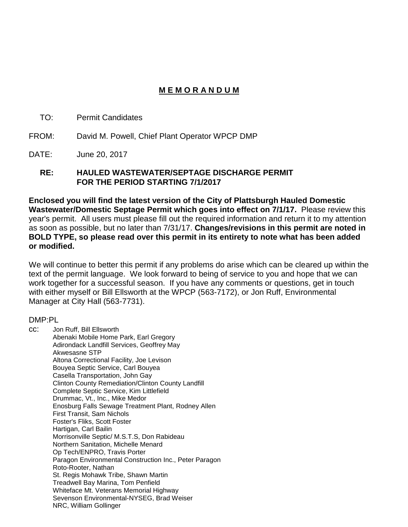# **M E M O R A N D U M**

- TO: Permit Candidates
- FROM: David M. Powell, Chief Plant Operator WPCP DMP
- DATE: June 20, 2017

#### **RE: HAULED WASTEWATER/SEPTAGE DISCHARGE PERMIT FOR THE PERIOD STARTING 7/1/2017**

**Enclosed you will find the latest version of the City of Plattsburgh Hauled Domestic Wastewater/Domestic Septage Permit which goes into effect on 7/1/17.** Please review this year's permit. All users must please fill out the required information and return it to my attention as soon as possible, but no later than 7/31/17. **Changes/revisions in this permit are noted in BOLD TYPE, so please read over this permit in its entirety to note what has been added or modified.**

We will continue to better this permit if any problems do arise which can be cleared up within the text of the permit language. We look forward to being of service to you and hope that we can work together for a successful season. If you have any comments or questions, get in touch with either myself or Bill Ellsworth at the WPCP (563-7172), or Jon Ruff, Environmental Manager at City Hall (563-7731).

#### DMP:PL

cc: Jon Ruff, Bill Ellsworth Abenaki Mobile Home Park, Earl Gregory Adirondack Landfill Services, Geoffrey May Akwesasne STP Altona Correctional Facility, Joe Levison Bouyea Septic Service, Carl Bouyea Casella Transportation, John Gay Clinton County Remediation/Clinton County Landfill Complete Septic Service, Kim Littlefield Drummac, Vt., Inc., Mike Medor Enosburg Falls Sewage Treatment Plant, Rodney Allen First Transit, Sam Nichols Foster's Fliks, Scott Foster Hartigan, Carl Bailin Morrisonville Septic/ M.S.T.S, Don Rabideau Northern Sanitation, Michelle Menard Op Tech/ENPRO, Travis Porter Paragon Environmental Construction Inc., Peter Paragon Roto-Rooter, Nathan St. Regis Mohawk Tribe, Shawn Martin Treadwell Bay Marina, Tom Penfield Whiteface Mt. Veterans Memorial Highway Sevenson Environmental-NYSEG, Brad Weiser NRC, William Gollinger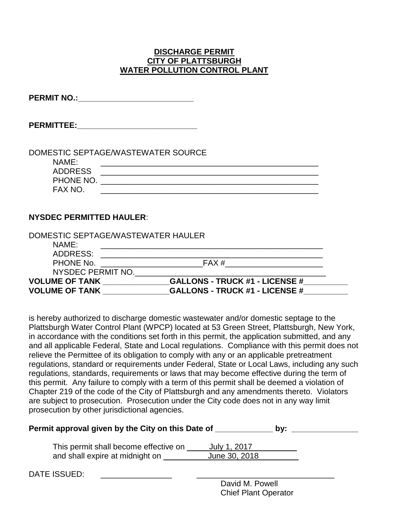### **DISCHARGE PERMIT CITY OF PLATTSBURGH WATER POLLUTION CONTROL PLANT**

| <b>PERMIT NO.:</b> |  |
|--------------------|--|
|--------------------|--|

**PERMITTEE:** 

|                | DOMESTIC SEPTAGE/WASTEWATER SOURCE |
|----------------|------------------------------------|
| NAMF:          |                                    |
| <b>ADDRESS</b> |                                    |
| PHONE NO.      |                                    |
| FAX NO.        |                                    |

## **NYSDEC PERMITTED HAULER**:

| DOMESTIC SEPTAGE/WASTEWATER HAULER |                                       |  |
|------------------------------------|---------------------------------------|--|
| NAME:                              |                                       |  |
| ADDRESS:                           |                                       |  |
| PHONE No.                          | FAX #                                 |  |
| NYSDEC PERMIT NO.                  |                                       |  |
| <b>VOLUME OF TANK</b>              | <b>GALLONS - TRUCK #1 - LICENSE #</b> |  |
| <b>VOLUME OF TANK</b>              | <b>GALLONS - TRUCK #1 - LICENSE #</b> |  |

is hereby authorized to discharge domestic wastewater and/or domestic septage to the Plattsburgh Water Control Plant (WPCP) located at 53 Green Street, Plattsburgh, New York, in accordance with the conditions set forth in this permit, the application submitted, and any and all applicable Federal, State and Local regulations. Compliance with this permit does not relieve the Permittee of its obligation to comply with any or an applicable pretreatment regulations, standard or requirements under Federal, State or Local Laws, including any such regulations, standards, requirements or laws that may become effective during the term of this permit. Any failure to comply with a term of this permit shall be deemed a violation of Chapter 219 of the code of the City of Plattsburgh and any amendments thereto. Violators are subject to prosecution. Prosecution under the City code does not in any way limit prosecution by other jurisdictional agencies.

| Permit approval given by the City on this Date of                        | bv:                           |  |  |
|--------------------------------------------------------------------------|-------------------------------|--|--|
| This permit shall become effective on<br>and shall expire at midnight on | July 1, 2017<br>June 30, 2018 |  |  |
| DATE ISSUED:                                                             |                               |  |  |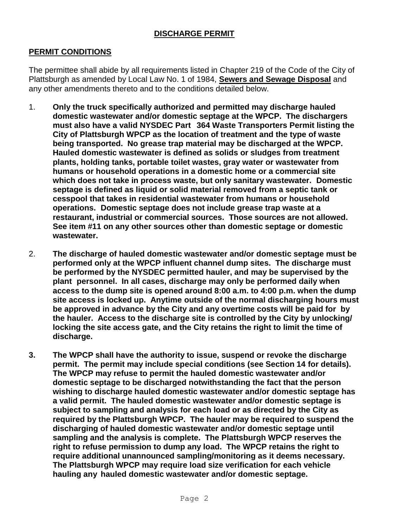## **DISCHARGE PERMIT**

## **PERMIT CONDITIONS**

The permittee shall abide by all requirements listed in Chapter 219 of the Code of the City of Plattsburgh as amended by Local Law No. 1 of 1984, **Sewers and Sewage Disposal** and any other amendments thereto and to the conditions detailed below.

- 1. **Only the truck specifically authorized and permitted may discharge hauled domestic wastewater and/or domestic septage at the WPCP. The dischargers must also have a valid NYSDEC Part 364 Waste Transporters Permit listing the City of Plattsburgh WPCP as the location of treatment and the type of waste being transported. No grease trap material may be discharged at the WPCP. Hauled domestic wastewater is defined as solids or sludges from treatment plants, holding tanks, portable toilet wastes, gray water or wastewater from humans or household operations in a domestic home or a commercial site which does not take in process waste, but only sanitary wastewater. Domestic septage is defined as liquid or solid material removed from a septic tank or cesspool that takes in residential wastewater from humans or household operations. Domestic septage does not include grease trap waste at a restaurant, industrial or commercial sources. Those sources are not allowed. See item #11 on any other sources other than domestic septage or domestic wastewater.**
- 2. **The discharge of hauled domestic wastewater and/or domestic septage must be performed only at the WPCP influent channel dump sites. The discharge must be performed by the NYSDEC permitted hauler, and may be supervised by the plant personnel. In all cases, discharge may only be performed daily when access to the dump site is opened around 8:00 a.m. to 4:00 p.m. when the dump site access is locked up. Anytime outside of the normal discharging hours must be approved in advance by the City and any overtime costs will be paid for by the hauler. Access to the discharge site is controlled by the City by unlocking/ locking the site access gate, and the City retains the right to limit the time of discharge.**
- **3. The WPCP shall have the authority to issue, suspend or revoke the discharge permit. The permit may include special conditions (see Section 14 for details). The WPCP may refuse to permit the hauled domestic wastewater and/or domestic septage to be discharged notwithstanding the fact that the person wishing to discharge hauled domestic wastewater and/or domestic septage has a valid permit. The hauled domestic wastewater and/or domestic septage is subject to sampling and analysis for each load or as directed by the City as required by the Plattsburgh WPCP. The hauler may be required to suspend the discharging of hauled domestic wastewater and/or domestic septage until sampling and the analysis is complete. The Plattsburgh WPCP reserves the right to refuse permission to dump any load. The WPCP retains the right to require additional unannounced sampling/monitoring as it deems necessary. The Plattsburgh WPCP may require load size verification for each vehicle hauling any hauled domestic wastewater and/or domestic septage.**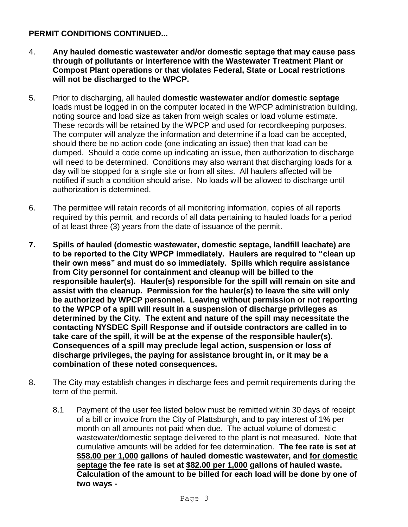- 4. **Any hauled domestic wastewater and/or domestic septage that may cause pass through of pollutants or interference with the Wastewater Treatment Plant or Compost Plant operations or that violates Federal, State or Local restrictions will not be discharged to the WPCP.**
- 5. Prior to discharging, all hauled **domestic wastewater and/or domestic septage** loads must be logged in on the computer located in the WPCP administration building, noting source and load size as taken from weigh scales or load volume estimate. These records will be retained by the WPCP and used for recordkeeping purposes. The computer will analyze the information and determine if a load can be accepted, should there be no action code (one indicating an issue) then that load can be dumped. Should a code come up indicating an issue, then authorization to discharge will need to be determined. Conditions may also warrant that discharging loads for a day will be stopped for a single site or from all sites. All haulers affected will be notified if such a condition should arise. No loads will be allowed to discharge until authorization is determined.
- 6. The permittee will retain records of all monitoring information, copies of all reports required by this permit, and records of all data pertaining to hauled loads for a period of at least three (3) years from the date of issuance of the permit.
- **7. Spills of hauled (domestic wastewater, domestic septage, landfill leachate) are to be reported to the City WPCP immediately. Haulers are required to "clean up their own mess" and must do so immediately. Spills which require assistance from City personnel for containment and cleanup will be billed to the responsible hauler(s). Hauler(s) responsible for the spill will remain on site and assist with the cleanup. Permission for the hauler(s) to leave the site will only be authorized by WPCP personnel. Leaving without permission or not reporting to the WPCP of a spill will result in a suspension of discharge privileges as determined by the City. The extent and nature of the spill may necessitate the contacting NYSDEC Spill Response and if outside contractors are called in to take care of the spill, it will be at the expense of the responsible hauler(s). Consequences of a spill may preclude legal action, suspension or loss of discharge privileges, the paying for assistance brought in, or it may be a combination of these noted consequences.**
- 8. The City may establish changes in discharge fees and permit requirements during the term of the permit.
	- 8.1 Payment of the user fee listed below must be remitted within 30 days of receipt of a bill or invoice from the City of Plattsburgh, and to pay interest of 1% per month on all amounts not paid when due. The actual volume of domestic wastewater/domestic septage delivered to the plant is not measured. Note that cumulative amounts will be added for fee determination. **The fee rate is set at \$58.00 per 1,000 gallons of hauled domestic wastewater, and for domestic septage the fee rate is set at \$82.00 per 1,000 gallons of hauled waste. Calculation of the amount to be billed for each load will be done by one of two ways -**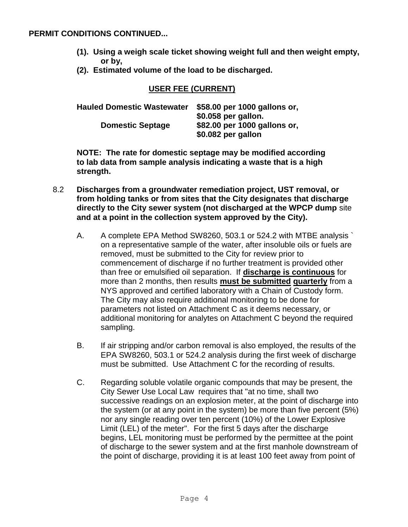- **(1). Using a weigh scale ticket showing weight full and then weight empty, or by,**
- **(2). Estimated volume of the load to be discharged.**

## **USER FEE (CURRENT)**

| <b>Hauled Domestic Wastewater</b> | \$58.00 per 1000 gallons or, |
|-----------------------------------|------------------------------|
|                                   | \$0.058 per gallon.          |
| <b>Domestic Septage</b>           | \$82.00 per 1000 gallons or, |
|                                   | \$0.082 per gallon           |

**NOTE: The rate for domestic septage may be modified according to lab data from sample analysis indicating a waste that is a high strength.**

- 8.2 **Discharges from a groundwater remediation project, UST removal, or from holding tanks or from sites that the City designates that discharge directly to the City sewer system (not discharged at the WPCP dump** site **and at a point in the collection system approved by the City).**
	- A. A complete EPA Method SW8260, 503.1 or 524.2 with MTBE analysis ` on a representative sample of the water, after insoluble oils or fuels are removed, must be submitted to the City for review prior to commencement of discharge if no further treatment is provided other than free or emulsified oil separation. If **discharge is continuous** for more than 2 months, then results **must be submitted quarterly** from a NYS approved and certified laboratory with a Chain of Custody form. The City may also require additional monitoring to be done for parameters not listed on Attachment C as it deems necessary, or additional monitoring for analytes on Attachment C beyond the required sampling.
	- B. If air stripping and/or carbon removal is also employed, the results of the EPA SW8260, 503.1 or 524.2 analysis during the first week of discharge must be submitted. Use Attachment C for the recording of results.
	- C. Regarding soluble volatile organic compounds that may be present, the City Sewer Use Local Law requires that "at no time, shall two successive readings on an explosion meter, at the point of discharge into the system (or at any point in the system) be more than five percent (5%) nor any single reading over ten percent (10%) of the Lower Explosive Limit (LEL) of the meter". For the first 5 days after the discharge begins, LEL monitoring must be performed by the permittee at the point of discharge to the sewer system and at the first manhole downstream of the point of discharge, providing it is at least 100 feet away from point of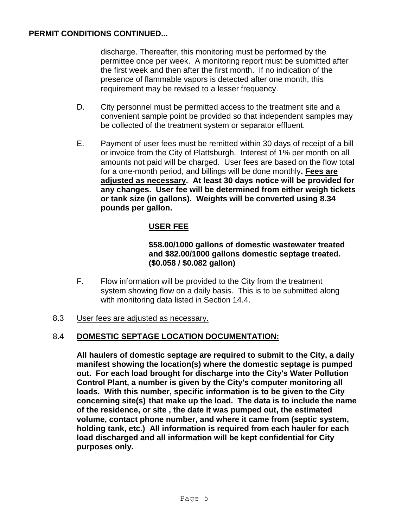discharge. Thereafter, this monitoring must be performed by the permittee once per week. A monitoring report must be submitted after the first week and then after the first month. If no indication of the presence of flammable vapors is detected after one month, this requirement may be revised to a lesser frequency.

- D. City personnel must be permitted access to the treatment site and a convenient sample point be provided so that independent samples may be collected of the treatment system or separator effluent.
- E. Payment of user fees must be remitted within 30 days of receipt of a bill or invoice from the City of Plattsburgh. Interest of 1% per month on all amounts not paid will be charged. User fees are based on the flow total for a one-month period, and billings will be done monthly**. Fees are adjusted as necessary. At least 30 days notice will be provided for any changes. User fee will be determined from either weigh tickets or tank size (in gallons). Weights will be converted using 8.34 pounds per gallon.**

# **USER FEE**

## **\$58.00/1000 gallons of domestic wastewater treated and \$82.00/1000 gallons domestic septage treated. (\$0.058 / \$0.082 gallon)**

F. Flow information will be provided to the City from the treatment system showing flow on a daily basis. This is to be submitted along with monitoring data listed in Section 14.4.

#### 8.3 User fees are adjusted as necessary.

## 8.4 **DOMESTIC SEPTAGE LOCATION DOCUMENTATION:**

**All haulers of domestic septage are required to submit to the City, a daily manifest showing the location(s) where the domestic septage is pumped out. For each load brought for discharge into the City's Water Pollution Control Plant, a number is given by the City's computer monitoring all loads. With this number, specific information is to be given to the City concerning site(s) that make up the load. The data is to include the name of the residence, or site , the date it was pumped out, the estimated volume, contact phone number, and where it came from (septic system, holding tank, etc.) All information is required from each hauler for each load discharged and all information will be kept confidential for City purposes only.**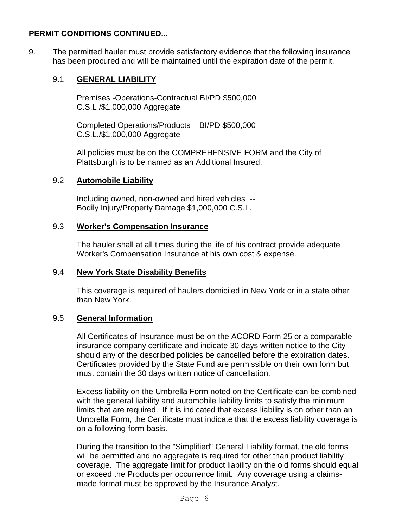9. The permitted hauler must provide satisfactory evidence that the following insurance has been procured and will be maintained until the expiration date of the permit.

# 9.1 **GENERAL LIABILITY**

Premises -Operations-Contractual BI/PD \$500,000 C.S.L /\$1,000,000 Aggregate

Completed Operations/Products BI/PD \$500,000 C.S.L./\$1,000,000 Aggregate

All policies must be on the COMPREHENSIVE FORM and the City of Plattsburgh is to be named as an Additional Insured.

## 9.2 **Automobile Liability**

Including owned, non-owned and hired vehicles -- Bodily Injury/Property Damage \$1,000,000 C.S.L.

## 9.3 **Worker's Compensation Insurance**

The hauler shall at all times during the life of his contract provide adequate Worker's Compensation Insurance at his own cost & expense.

# 9.4 **New York State Disability Benefits**

This coverage is required of haulers domiciled in New York or in a state other than New York.

## 9.5 **General Information**

All Certificates of Insurance must be on the ACORD Form 25 or a comparable insurance company certificate and indicate 30 days written notice to the City should any of the described policies be cancelled before the expiration dates. Certificates provided by the State Fund are permissible on their own form but must contain the 30 days written notice of cancellation.

Excess liability on the Umbrella Form noted on the Certificate can be combined with the general liability and automobile liability limits to satisfy the minimum limits that are required. If it is indicated that excess liability is on other than an Umbrella Form, the Certificate must indicate that the excess liability coverage is on a following-form basis.

During the transition to the "Simplified" General Liability format, the old forms will be permitted and no aggregate is required for other than product liability coverage. The aggregate limit for product liability on the old forms should equal or exceed the Products per occurrence limit. Any coverage using a claimsmade format must be approved by the Insurance Analyst.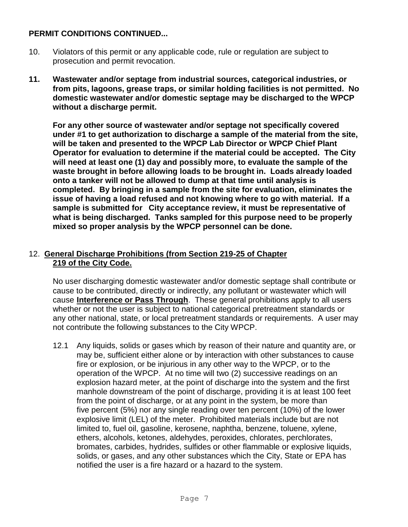- 10. Violators of this permit or any applicable code, rule or regulation are subject to prosecution and permit revocation.
- **11. Wastewater and/or septage from industrial sources, categorical industries, or from pits, lagoons, grease traps, or similar holding facilities is not permitted. No domestic wastewater and/or domestic septage may be discharged to the WPCP without a discharge permit.**

**For any other source of wastewater and/or septage not specifically covered under #1 to get authorization to discharge a sample of the material from the site, will be taken and presented to the WPCP Lab Director or WPCP Chief Plant Operator for evaluation to determine if the material could be accepted. The City will need at least one (1) day and possibly more, to evaluate the sample of the waste brought in before allowing loads to be brought in. Loads already loaded onto a tanker will not be allowed to dump at that time until analysis is completed. By bringing in a sample from the site for evaluation, eliminates the issue of having a load refused and not knowing where to go with material. If a sample is submitted for City acceptance review, it must be representative of what is being discharged. Tanks sampled for this purpose need to be properly mixed so proper analysis by the WPCP personnel can be done.**

# 12. **General Discharge Prohibitions (from Section 219-25 of Chapter 219 of the City Code.**

No user discharging domestic wastewater and/or domestic septage shall contribute or cause to be contributed, directly or indirectly, any pollutant or wastewater which will cause **Interference or Pass Through**. These general prohibitions apply to all users whether or not the user is subject to national categorical pretreatment standards or any other national, state, or local pretreatment standards or requirements. A user may not contribute the following substances to the City WPCP.

12.1 Any liquids, solids or gases which by reason of their nature and quantity are, or may be, sufficient either alone or by interaction with other substances to cause fire or explosion, or be injurious in any other way to the WPCP, or to the operation of the WPCP. At no time will two (2) successive readings on an explosion hazard meter, at the point of discharge into the system and the first manhole downstream of the point of discharge, providing it is at least 100 feet from the point of discharge, or at any point in the system, be more than five percent (5%) nor any single reading over ten percent (10%) of the lower explosive limit (LEL) of the meter. Prohibited materials include but are not limited to, fuel oil, gasoline, kerosene, naphtha, benzene, toluene, xylene, ethers, alcohols, ketones, aldehydes, peroxides, chlorates, perchlorates, bromates, carbides, hydrides, sulfides or other flammable or explosive liquids, solids, or gases, and any other substances which the City, State or EPA has notified the user is a fire hazard or a hazard to the system.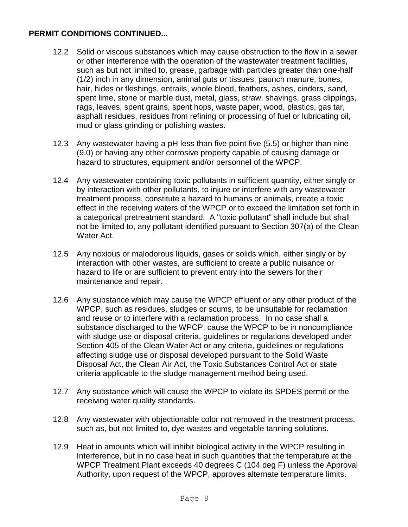- 12.2 Solid or viscous substances which may cause obstruction to the flow in a sewer or other interference with the operation of the wastewater treatment facilities, such as but not limited to, grease, garbage with particles greater than one-half (1/2) inch in any dimension, animal guts or tissues, paunch manure, bones, hair, hides or fleshings, entrails, whole blood, feathers, ashes, cinders, sand, spent lime, stone or marble dust, metal, glass, straw, shavings, grass clippings, rags, leaves, spent grains, spent hops, waste paper, wood, plastics, gas tar, asphalt residues, residues from refining or processing of fuel or lubricating oil, mud or glass grinding or polishing wastes.
- 12.3 Any wastewater having a pH less than five point five (5.5) or higher than nine (9.0) or having any other corrosive property capable of causing damage or hazard to structures, equipment and/or personnel of the WPCP.
- 12.4 Any wastewater containing toxic pollutants in sufficient quantity, either singly or by interaction with other pollutants, to injure or interfere with any wastewater treatment process, constitute a hazard to humans or animals, create a toxic effect in the receiving waters of the WPCP or to exceed the limitation set forth in a categorical pretreatment standard. A "toxic pollutant" shall include but shall not be limited to, any pollutant identified pursuant to Section 307(a) of the Clean Water Act.
- 12.5 Any noxious or malodorous liquids, gases or solids which, either singly or by interaction with other wastes, are sufficient to create a public nuisance or hazard to life or are sufficient to prevent entry into the sewers for their maintenance and repair.
- 12.6 Any substance which may cause the WPCP effluent or any other product of the WPCP, such as residues, sludges or scums, to be unsuitable for reclamation and reuse or to interfere with a reclamation process. In no case shall a substance discharged to the WPCP, cause the WPCP to be in noncompliance with sludge use or disposal criteria, guidelines or regulations developed under Section 405 of the Clean Water Act or any criteria, guidelines or regulations affecting sludge use or disposal developed pursuant to the Solid Waste Disposal Act, the Clean Air Act, the Toxic Substances Control Act or state criteria applicable to the sludge management method being used.
- 12.7 Any substance which will cause the WPCP to violate its SPDES permit or the receiving water quality standards.
- 12.8 Any wastewater with objectionable color not removed in the treatment process, such as, but not limited to, dye wastes and vegetable tanning solutions.
- 12.9 Heat in amounts which will inhibit biological activity in the WPCP resulting in Interference, but in no case heat in such quantities that the temperature at the WPCP Treatment Plant exceeds 40 degrees C (104 deg F) unless the Approval Authority, upon request of the WPCP, approves alternate temperature limits.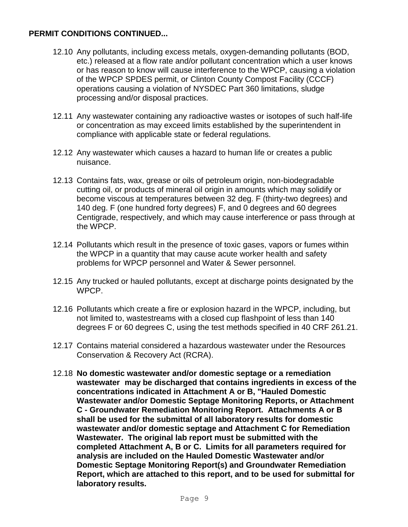- 12.10 Any pollutants, including excess metals, oxygen-demanding pollutants (BOD, etc.) released at a flow rate and/or pollutant concentration which a user knows or has reason to know will cause interference to the WPCP, causing a violation of the WPCP SPDES permit, or Clinton County Compost Facility (CCCF) operations causing a violation of NYSDEC Part 360 limitations, sludge processing and/or disposal practices.
- 12.11 Any wastewater containing any radioactive wastes or isotopes of such half-life or concentration as may exceed limits established by the superintendent in compliance with applicable state or federal regulations.
- 12.12 Any wastewater which causes a hazard to human life or creates a public nuisance.
- 12.13 Contains fats, wax, grease or oils of petroleum origin, non-biodegradable cutting oil, or products of mineral oil origin in amounts which may solidify or become viscous at temperatures between 32 deg. F (thirty-two degrees) and 140 deg. F (one hundred forty degrees) F, and 0 degrees and 60 degrees Centigrade, respectively, and which may cause interference or pass through at the WPCP.
- 12.14 Pollutants which result in the presence of toxic gases, vapors or fumes within the WPCP in a quantity that may cause acute worker health and safety problems for WPCP personnel and Water & Sewer personnel.
- 12.15 Any trucked or hauled pollutants, except at discharge points designated by the WPCP.
- 12.16 Pollutants which create a fire or explosion hazard in the WPCP, including, but not limited to, wastestreams with a closed cup flashpoint of less than 140 degrees F or 60 degrees C, using the test methods specified in 40 CRF 261.21.
- 12.17 Contains material considered a hazardous wastewater under the Resources Conservation & Recovery Act (RCRA).
- 12.18 **No domestic wastewater and/or domestic septage or a remediation wastewater may be discharged that contains ingredients in excess of the concentrations indicated in Attachment A or B, "Hauled Domestic Wastewater and/or Domestic Septage Monitoring Reports, or Attachment C - Groundwater Remediation Monitoring Report. Attachments A or B shall be used for the submittal of all laboratory results for domestic wastewater and/or domestic septage and Attachment C for Remediation Wastewater. The original lab report must be submitted with the completed Attachment A, B or C. Limits for all parameters required for analysis are included on the Hauled Domestic Wastewater and/or Domestic Septage Monitoring Report(s) and Groundwater Remediation Report, which are attached to this report, and to be used for submittal for laboratory results.**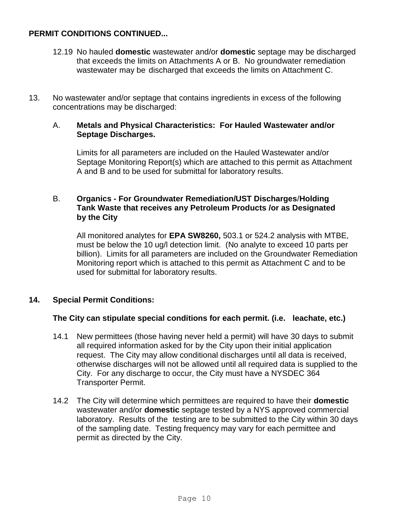- 12.19 No hauled **domestic** wastewater and/or **domestic** septage may be discharged that exceeds the limits on Attachments A or B. No groundwater remediation wastewater may be discharged that exceeds the limits on Attachment C.
- 13. No wastewater and/or septage that contains ingredients in excess of the following concentrations may be discharged:

#### A. **Metals and Physical Characteristics: For Hauled Wastewater and/or Septage Discharges.**

Limits for all parameters are included on the Hauled Wastewater and/or Septage Monitoring Report(s) which are attached to this permit as Attachment A and B and to be used for submittal for laboratory results.

## B. **Organics - For Groundwater Remediation/UST Discharges**/**Holding Tank Waste that receives any Petroleum Products /or as Designated by the City**

All monitored analytes for **EPA SW8260,** 503.1 or 524.2 analysis with MTBE, must be below the 10 ug/l detection limit. (No analyte to exceed 10 parts per billion). Limits for all parameters are included on the Groundwater Remediation Monitoring report which is attached to this permit as Attachment C and to be used for submittal for laboratory results.

# **14. Special Permit Conditions:**

# **The City can stipulate special conditions for each permit. (i.e. leachate, etc.)**

- 14.1 New permittees (those having never held a permit) will have 30 days to submit all required information asked for by the City upon their initial application request. The City may allow conditional discharges until all data is received, otherwise discharges will not be allowed until all required data is supplied to the City. For any discharge to occur, the City must have a NYSDEC 364 Transporter Permit.
- 14.2 The City will determine which permittees are required to have their **domestic**  wastewater and/or **domestic** septage tested by a NYS approved commercial laboratory. Results of the testing are to be submitted to the City within 30 days of the sampling date. Testing frequency may vary for each permittee and permit as directed by the City.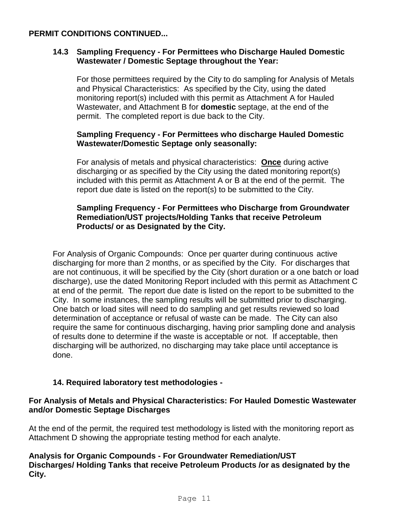## **14.3 Sampling Frequency - For Permittees who Discharge Hauled Domestic Wastewater / Domestic Septage throughout the Year:**

For those permittees required by the City to do sampling for Analysis of Metals and Physical Characteristics: As specified by the City, using the dated monitoring report(s) included with this permit as Attachment A for Hauled Wastewater, and Attachment B for **domestic** septage, at the end of the permit. The completed report is due back to the City.

## **Sampling Frequency - For Permittees who discharge Hauled Domestic Wastewater/Domestic Septage only seasonally:**

For analysis of metals and physical characteristics: **Once** during active discharging or as specified by the City using the dated monitoring report(s) included with this permit as Attachment A or B at the end of the permit. The report due date is listed on the report(s) to be submitted to the City.

## **Sampling Frequency - For Permittees who Discharge from Groundwater Remediation/UST projects/Holding Tanks that receive Petroleum Products/ or as Designated by the City.**

For Analysis of Organic Compounds: Once per quarter during continuous active discharging for more than 2 months, or as specified by the City. For discharges that are not continuous, it will be specified by the City (short duration or a one batch or load discharge), use the dated Monitoring Report included with this permit as Attachment C at end of the permit. The report due date is listed on the report to be submitted to the City. In some instances, the sampling results will be submitted prior to discharging. One batch or load sites will need to do sampling and get results reviewed so load determination of acceptance or refusal of waste can be made. The City can also require the same for continuous discharging, having prior sampling done and analysis of results done to determine if the waste is acceptable or not. If acceptable, then discharging will be authorized, no discharging may take place until acceptance is done.

# **14. Required laboratory test methodologies -**

## **For Analysis of Metals and Physical Characteristics: For Hauled Domestic Wastewater and/or Domestic Septage Discharges**

At the end of the permit, the required test methodology is listed with the monitoring report as Attachment D showing the appropriate testing method for each analyte.

# **Analysis for Organic Compounds - For Groundwater Remediation/UST Discharges/ Holding Tanks that receive Petroleum Products /or as designated by the City.**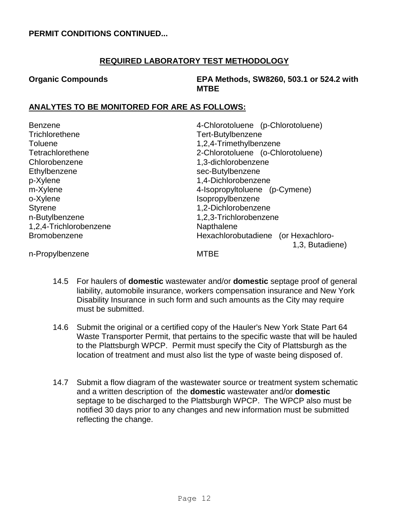## **REQUIRED LABORATORY TEST METHODOLOGY**

**Organic Compounds EPA Methods, SW8260, 503.1 or 524.2 with MTBE**

# **ANALYTES TO BE MONITORED FOR ARE AS FOLLOWS:**

| Benzene                | 4-Chlorotoluene (p-Chlorotoluene)   |  |  |
|------------------------|-------------------------------------|--|--|
| Trichlorethene         | Tert-Butylbenzene                   |  |  |
| Toluene                | 1,2,4-Trimethylbenzene              |  |  |
| Tetrachlorethene       | 2-Chlorotoluene (o-Chlorotoluene)   |  |  |
| Chlorobenzene          | 1,3-dichlorobenzene                 |  |  |
| Ethylbenzene           | sec-Butylbenzene                    |  |  |
| p-Xylene               | 1,4-Dichlorobenzene                 |  |  |
| m-Xylene               | 4-Isopropyltoluene (p-Cymene)       |  |  |
| o-Xylene               | Isopropylbenzene                    |  |  |
| <b>Styrene</b>         | 1,2-Dichlorobenzene                 |  |  |
| n-Butylbenzene         | 1,2,3-Trichlorobenzene              |  |  |
| 1,2,4-Trichlorobenzene | Napthalene                          |  |  |
| Bromobenzene           | Hexachlorobutadiene (or Hexachloro- |  |  |
|                        | 1,3, Butadiene)                     |  |  |
| n-Propylbenzene        | <b>MTBE</b>                         |  |  |

- 14.5 For haulers of **domestic** wastewater and/or **domestic** septage proof of general liability, automobile insurance, workers compensation insurance and New York Disability Insurance in such form and such amounts as the City may require must be submitted.
- 14.6 Submit the original or a certified copy of the Hauler's New York State Part 64 Waste Transporter Permit, that pertains to the specific waste that will be hauled to the Plattsburgh WPCP. Permit must specify the City of Plattsburgh as the location of treatment and must also list the type of waste being disposed of.
- 14.7 Submit a flow diagram of the wastewater source or treatment system schematic and a written description of the **domestic** wastewater and/or **domestic**  septage to be discharged to the Plattsburgh WPCP. The WPCP also must be notified 30 days prior to any changes and new information must be submitted reflecting the change.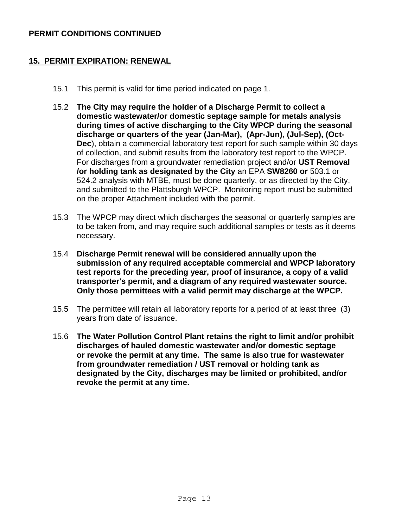#### **15. PERMIT EXPIRATION: RENEWAL**

- 15.1 This permit is valid for time period indicated on page 1.
- 15.2 **The City may require the holder of a Discharge Permit to collect a domestic wastewater/or domestic septage sample for metals analysis during times of active discharging to the City WPCP during the seasonal discharge or quarters of the year (Jan-Mar), (Apr-Jun), (Jul-Sep), (Oct-Dec**), obtain a commercial laboratory test report for such sample within 30 days of collection, and submit results from the laboratory test report to the WPCP. For discharges from a groundwater remediation project and/or **UST Removal /or holding tank as designated by the City** an EPA **SW8260 or** 503.1 or 524.2 analysis with MTBE, must be done quarterly, or as directed by the City, and submitted to the Plattsburgh WPCP. Monitoring report must be submitted on the proper Attachment included with the permit.
- 15.3 The WPCP may direct which discharges the seasonal or quarterly samples are to be taken from, and may require such additional samples or tests as it deems necessary.
- 15.4 **Discharge Permit renewal will be considered annually upon the submission of any required acceptable commercial and WPCP laboratory test reports for the preceding year, proof of insurance, a copy of a valid transporter's permit, and a diagram of any required wastewater source. Only those permittees with a valid permit may discharge at the WPCP.**
- 15.5 The permittee will retain all laboratory reports for a period of at least three (3) years from date of issuance.
- 15.6 **The Water Pollution Control Plant retains the right to limit and/or prohibit discharges of hauled domestic wastewater and/or domestic septage or revoke the permit at any time. The same is also true for wastewater from groundwater remediation / UST removal or holding tank as designated by the City, discharges may be limited or prohibited, and/or revoke the permit at any time.**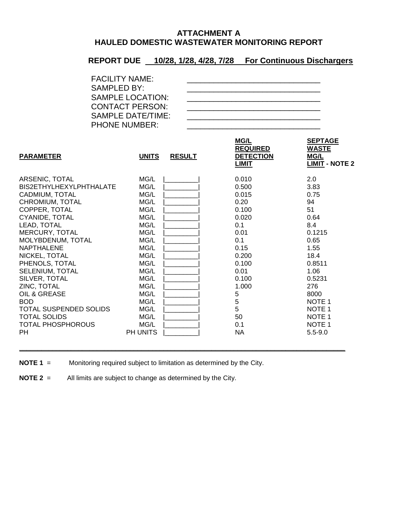## **ATTACHMENT A HAULED DOMESTIC WASTEWATER MONITORING REPORT**

# **REPORT DUE 10/28, 1/28, 4/28, 7/28 For Continuous Dischargers**

| <b>PARAMETER</b>         | <b>UNITS</b> | <b>RESULT</b> | <b>MG/L</b><br><b>REQUIRED</b><br><b>DETECTION</b><br><b>LIMIT</b> | <b>SEPTAGE</b><br><b>WASTE</b><br><b>MG/L</b><br><b>LIMIT - NOTE 2</b> |
|--------------------------|--------------|---------------|--------------------------------------------------------------------|------------------------------------------------------------------------|
| ARSENIC, TOTAL           | MG/L         |               | 0.010                                                              | 2.0                                                                    |
| BIS2ETHYLHEXYLPHTHALATE  | MG/L         |               | 0.500                                                              | 3.83                                                                   |
| CADMIUM, TOTAL           | MG/L         |               | 0.015                                                              | 0.75                                                                   |
| CHROMIUM, TOTAL          | MG/L         |               | 0.20                                                               | 94                                                                     |
| COPPER, TOTAL            | MG/L         |               | 0.100                                                              | 51                                                                     |
| CYANIDE, TOTAL           | MG/L         |               | 0.020                                                              | 0.64                                                                   |
| LEAD, TOTAL              | MG/L         |               | 0.1                                                                | 8.4                                                                    |
| MERCURY, TOTAL           | MG/L         |               | 0.01                                                               | 0.1215                                                                 |
| MOLYBDENUM, TOTAL        | MG/L         |               | 0.1                                                                | 0.65                                                                   |
| <b>NAPTHALENE</b>        | MG/L         |               | 0.15                                                               | 1.55                                                                   |
| NICKEL, TOTAL            | MG/L         |               | 0.200                                                              | 18.4                                                                   |
| PHENOLS, TOTAL           | MG/L         |               | 0.100                                                              | 0.8511                                                                 |
| SELENIUM, TOTAL          | MG/L         |               | 0.01                                                               | 1.06                                                                   |
| SILVER, TOTAL            | MG/L         |               | 0.100                                                              | 0.5231                                                                 |
| ZINC, TOTAL              | MG/L         |               | 1.000                                                              | 276                                                                    |
| OIL & GREASE             | MG/L         |               | 5                                                                  | 8000                                                                   |
| <b>BOD</b>               | MG/L         |               | 5                                                                  | NOTE <sub>1</sub>                                                      |
| TOTAL SUSPENDED SOLIDS   | MG/L         |               | 5                                                                  | NOTE <sub>1</sub>                                                      |
| <b>TOTAL SOLIDS</b>      | MG/L         |               | 50                                                                 | NOTE <sub>1</sub>                                                      |
| <b>TOTAL PHOSPHOROUS</b> | MG/L         |               | 0.1                                                                | NOTE <sub>1</sub>                                                      |
| <b>PH</b>                | PH UNITS     |               | <b>NA</b>                                                          | $5.5 - 9.0$                                                            |

**\_\_\_\_\_\_\_\_\_\_\_\_\_\_\_\_\_\_\_\_\_\_\_\_\_\_\_\_\_\_\_\_\_\_\_\_\_\_\_\_\_\_\_\_\_\_\_\_\_\_\_\_\_\_\_\_\_\_\_\_\_\_\_\_\_\_\_\_\_\_\_\_\_\_\_\_\_\_\_\_\_\_\_\_\_\_\_\_**

**NOTE 1** = Monitoring required subject to limitation as determined by the City.

**NOTE 2** = All limits are subject to change as determined by the City.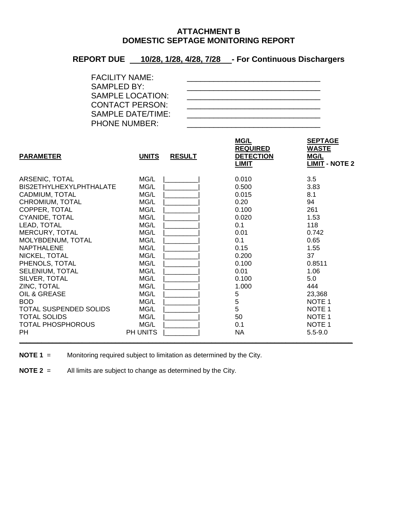## **ATTACHMENT B DOMESTIC SEPTAGE MONITORING REPORT**

## **REPORT DUE 10/28, 1/28, 4/28, 7/28 - For Continuous Dischargers**

| <b>FACILITY NAME:</b>    |  |
|--------------------------|--|
| <b>SAMPLED BY:</b>       |  |
| <b>SAMPLE LOCATION:</b>  |  |
| <b>CONTACT PERSON:</b>   |  |
| <b>SAMPLE DATE/TIME:</b> |  |
| <b>PHONE NUMBER:</b>     |  |

| <b>PARAMETER</b>              | <b>UNITS</b> | <b>RESULT</b> | <b>MG/L</b><br><b>REQUIRED</b><br><b>DETECTION</b><br>LIMIT | <b>SEPTAGE</b><br><b>WASTE</b><br><b>MG/L</b><br><b>LIMIT - NOTE 2</b> |
|-------------------------------|--------------|---------------|-------------------------------------------------------------|------------------------------------------------------------------------|
| ARSENIC, TOTAL                | MG/L         |               | 0.010                                                       | 3.5                                                                    |
| BIS2ETHYLHEXYLPHTHALATE       | MG/L         |               | 0.500                                                       | 3.83                                                                   |
| CADMIUM, TOTAL                | MG/L         |               | 0.015                                                       | 8.1                                                                    |
| CHROMIUM, TOTAL               | MG/L         |               | 0.20                                                        | 94                                                                     |
| COPPER, TOTAL                 | MG/L         |               | 0.100                                                       | 261                                                                    |
| CYANIDE, TOTAL                | MG/L         |               | 0.020                                                       | 1.53                                                                   |
| LEAD, TOTAL                   | MG/L         |               | 0.1                                                         | 118                                                                    |
| MERCURY, TOTAL                | MG/L         |               | 0.01                                                        | 0.742                                                                  |
| MOLYBDENUM, TOTAL             | MG/L         |               | 0.1                                                         | 0.65                                                                   |
| <b>NAPTHALENE</b>             | MG/L         |               | 0.15                                                        | 1.55                                                                   |
| NICKEL, TOTAL                 | MG/L         |               | 0.200                                                       | 37                                                                     |
| PHENOLS, TOTAL                | MG/L         |               | 0.100                                                       | 0.8511                                                                 |
| SELENIUM, TOTAL               | MG/L         |               | 0.01                                                        | 1.06                                                                   |
| SILVER, TOTAL                 | MG/L         |               | 0.100                                                       | 5.0                                                                    |
| ZINC, TOTAL                   | MG/L         |               | 1.000                                                       | 444                                                                    |
| OIL & GREASE                  | MG/L         |               | 5                                                           | 23,368                                                                 |
| <b>BOD</b>                    | MG/L         |               | $\mathbf 5$                                                 | NOTE <sub>1</sub>                                                      |
| <b>TOTAL SUSPENDED SOLIDS</b> | MG/L         |               | 5                                                           | NOTE <sub>1</sub>                                                      |
| <b>TOTAL SOLIDS</b>           | MG/L         |               | 50                                                          | NOTE <sub>1</sub>                                                      |
| <b>TOTAL PHOSPHOROUS</b>      | MG/L         |               | 0.1                                                         | NOTE <sub>1</sub>                                                      |
| <b>PH</b>                     | PH UNITS     |               | <b>NA</b>                                                   | $5.5 - 9.0$                                                            |

**NOTE 1** = Monitoring required subject to limitation as determined by the City.

**NOTE 2** = All limits are subject to change as determined by the City.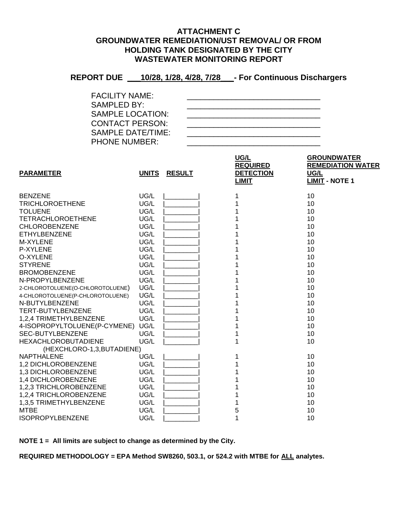#### **ATTACHMENT C GROUNDWATER REMEDIATION/UST REMOVAL/ OR FROM HOLDING TANK DESIGNATED BY THE CITY WASTEWATER MONITORING REPORT**

# **REPORT DUE \_\_\_10/28, 1/28, 4/28, 7/28\_\_\_- For Continuous Dischargers**

| <b>FACILITY NAME:</b>   |  |
|-------------------------|--|
| SAMPLED BY:             |  |
| <b>SAMPLE LOCATION:</b> |  |
| <b>CONTACT PERSON:</b>  |  |
| SAMPLE DATE/TIME:       |  |
| <b>PHONE NUMBER:</b>    |  |

|                                  |              |               | UG/L<br><b>REQUIRED</b> | <b>GROUNDWATER</b><br><b>REMEDIATION WATER</b> |
|----------------------------------|--------------|---------------|-------------------------|------------------------------------------------|
| <b>PARAMETER</b>                 | <b>UNITS</b> | <b>RESULT</b> | <b>DETECTION</b>        | UG/L                                           |
|                                  |              |               | <b>LIMIT</b>            | <b>LIMIT - NOTE 1</b>                          |
| <b>BENZENE</b>                   | UG/L         |               |                         | 10                                             |
| <b>TRICHLOROETHENE</b>           | UG/L         |               |                         | 10                                             |
| <b>TOLUENE</b>                   | UG/L         |               |                         | 10                                             |
| <b>TETRACHLOROETHENE</b>         | UG/L         |               |                         | 10                                             |
| <b>CHLOROBENZENE</b>             | UG/L         |               |                         | 10                                             |
| ETHYLBENZENE                     | UG/L         |               |                         | 10                                             |
| M-XYLENE                         | UG/L         |               |                         | 10                                             |
| P-XYLENE                         | UG/L         |               |                         | 10                                             |
| O-XYLENE                         | UG/L         |               |                         | 10                                             |
| <b>STYRENE</b>                   | UG/L         |               |                         | 10                                             |
| <b>BROMOBENZENE</b>              | UG/L         |               |                         | 10                                             |
| N-PROPYLBENZENE                  | UG/L         |               |                         | 10                                             |
| 2-CHLOROTOLUENE(O-CHLOROTOLUENE) | UG/L         |               |                         | 10                                             |
| 4-CHLOROTOLUENE(P-CHLOROTOLUENE) | UG/L         |               |                         | 10                                             |
| N-BUTYLBENZENE                   | UG/L         |               |                         | 10                                             |
| TERT-BUTYLBENZENE                | UG/L         |               |                         | 10                                             |
| 1,2,4 TRIMETHYLBENZENE           | UG/L         |               |                         | 10                                             |
| 4-ISOPROPYLTOLUENE(P-CYMENE)     | UG/L         |               |                         | 10                                             |
| <b>SEC-BUTYLBENZENE</b>          | UG/L         |               |                         | 10                                             |
| <b>HEXACHLOROBUTADIENE</b>       | UG/L         |               | 1                       | 10                                             |
| (HEXCHLORO-1,3, BUTADIENE)       |              |               |                         |                                                |
| NAPTHALENE                       | UG/L         |               |                         | 10                                             |
| 1,2 DICHLOROBENZENE              | UG/L         |               |                         | 10                                             |
| 1,3 DICHLOROBENZENE              | UG/L         |               |                         | 10                                             |
| 1,4 DICHLOROBENZENE              | UG/L         |               |                         | 10                                             |
| 1,2,3 TRICHLOROBENZENE           | UG/L         |               |                         | 10                                             |
| 1,2,4 TRICHLOROBENZENE           | UG/L         |               |                         | 10                                             |
| 1,3,5 TRIMETHYLBENZENE           | UG/L         |               |                         | 10                                             |
| <b>MTBE</b>                      | UG/L         |               | 5                       | 10                                             |
| <b>ISOPROPYLBENZENE</b>          | UG/L         |               | 1                       | 10                                             |

**NOTE 1 = All limits are subject to change as determined by the City.**

**REQUIRED METHODOLOGY = EPA Method SW8260, 503.1, or 524.2 with MTBE for ALL analytes.**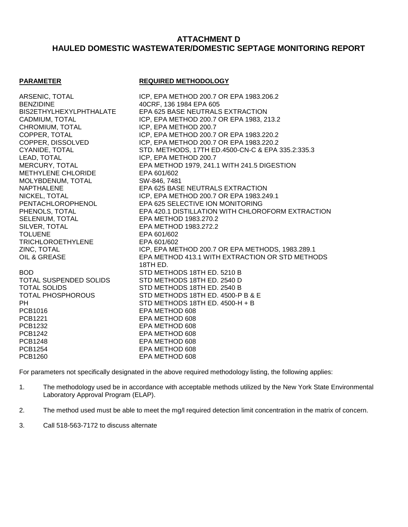## **ATTACHMENT D HAULED DOMESTIC WASTEWATER/DOMESTIC SEPTAGE MONITORING REPORT**

#### **PARAMETER REQUIRED METHODOLOGY**

BENZIDINE 40CRF, 136 1984 EPA 605 CHROMIUM, TOTAL ICP, EPA METHOD 200.7 LEAD, TOTAL ICP, EPA METHOD 200.7 METHYLENE CHLORIDE MOLYBDENUM, TOTAL SW-846, 7481 SELENIUM, TOTAL EPA METHOD 1983.270.2 SILVER, TOTAL EPA METHOD 1983.272.2 TOLUENE EPA 601/602 TRICHLOROETHYLENE EPA 601/602

PCB1016 EPA METHOD 608 PCB1221 EPA METHOD 608 PCB1232 EPA METHOD 608 PCB1242 EPA METHOD 608 PCB1248 EPA METHOD 608 PCB1254 EPA METHOD 608 PCB1260 EPA METHOD 608

ARSENIC, TOTAL ICP, EPA METHOD 200.7 OR EPA 1983.206.2 BIS2ETHYLHEXYLPHTHALATE EPA 625 BASE NEUTRALS EXTRACTION CADMIUM, TOTAL ICP, EPA METHOD 200.7 OR EPA 1983, 213.2 COPPER, TOTAL ICP, EPA METHOD 200.7 OR EPA 1983.220.2 COPPER, DISSOLVED ICP, EPA METHOD 200.7 OR EPA 1983.220.2 CYANIDE, TOTAL STD. METHODS, 17TH ED.4500-CN-C & EPA 335.2:335.3 MERCURY, TOTAL EPA METHOD 1979, 241.1 WITH 241.5 DIGESTION NAPTHALENE EPA 625 BASE NEUTRALS EXTRACTION NICKEL, TOTAL **ICP, EPA METHOD 200.7 OR EPA 1983.249.1** PENTACHLOROPHENOL EPA 625 SELECTIVE ION MONITORING PHENOLS, TOTAL EPA 420.1 DISTILLATION WITH CHLOROFORM EXTRACTION ZINC, TOTAL **ICP, EPA METHOD 200.7 OR EPA METHODS**, 1983.289.1 OIL & GREASE EPA METHOD 413.1 WITH EXTRACTION OR STD METHODS 18TH ED. BOD **STD METHODS 18TH ED. 5210 B** TOTAL SUSPENDED SOLIDS STD METHODS 18TH ED. 2540 D TOTAL SOLIDS STD METHODS 18TH ED. 2540 B TOTAL PHOSPHOROUS STD METHODS 18TH ED. 4500-P B & E PH STD METHODS 18TH ED. 4500-H + B

For parameters not specifically designated in the above required methodology listing, the following applies:

- 1. The methodology used be in accordance with acceptable methods utilized by the New York State Environmental Laboratory Approval Program (ELAP).
- 2. The method used must be able to meet the mg/l required detection limit concentration in the matrix of concern.
- 3. Call 518-563-7172 to discuss alternate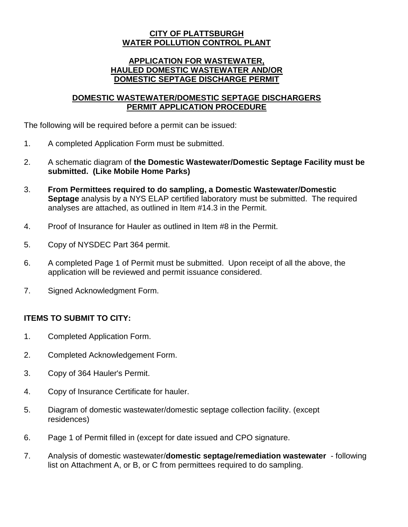#### **CITY OF PLATTSBURGH WATER POLLUTION CONTROL PLANT**

## **APPLICATION FOR WASTEWATER, HAULED DOMESTIC WASTEWATER AND/OR DOMESTIC SEPTAGE DISCHARGE PERMIT**

## **DOMESTIC WASTEWATER/DOMESTIC SEPTAGE DISCHARGERS PERMIT APPLICATION PROCEDURE**

The following will be required before a permit can be issued:

- 1. A completed Application Form must be submitted.
- 2. A schematic diagram of **the Domestic Wastewater/Domestic Septage Facility must be submitted. (Like Mobile Home Parks)**
- 3. **From Permittees required to do sampling, a Domestic Wastewater/Domestic Septage** analysis by a NYS ELAP certified laboratory must be submitted. The required analyses are attached, as outlined in Item #14.3 in the Permit.
- 4. Proof of Insurance for Hauler as outlined in Item #8 in the Permit.
- 5. Copy of NYSDEC Part 364 permit.
- 6. A completed Page 1 of Permit must be submitted. Upon receipt of all the above, the application will be reviewed and permit issuance considered.
- 7. Signed Acknowledgment Form.

# **ITEMS TO SUBMIT TO CITY:**

- 1. Completed Application Form.
- 2. Completed Acknowledgement Form.
- 3. Copy of 364 Hauler's Permit.
- 4. Copy of Insurance Certificate for hauler.
- 5. Diagram of domestic wastewater/domestic septage collection facility. (except residences)
- 6. Page 1 of Permit filled in (except for date issued and CPO signature.
- 7. Analysis of domestic wastewater/**domestic septage/remediation wastewater** following list on Attachment A, or B, or C from permittees required to do sampling.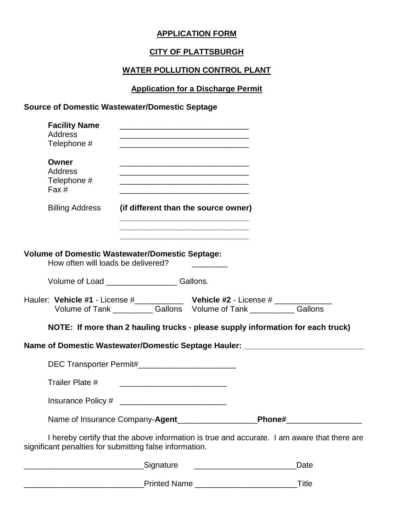## **APPLICATION FORM**

# **CITY OF PLATTSBURGH**

# **WATER POLLUTION CONTROL PLANT**

# **Application for a Discharge Permit**

# **Source of Domestic Wastewater/Domestic Septage**

| <b>Facility Name</b><br><b>Address</b><br>Telephone #                                        |                                                                                                                                                                                                                                                                                                             | the control of the control of the control of the control of the control of the control of |                                                                                             |
|----------------------------------------------------------------------------------------------|-------------------------------------------------------------------------------------------------------------------------------------------------------------------------------------------------------------------------------------------------------------------------------------------------------------|-------------------------------------------------------------------------------------------|---------------------------------------------------------------------------------------------|
| Owner<br><b>Address</b><br>Telephone #<br>Fax #                                              | <u> 1989 - Johann Stein, mars an deutscher Stein und der Stein und der Stein und der Stein und der Stein und der</u><br><u> 1989 - Johann Stein, marwolaethau a bhann an t-Amhair ann an t-Amhair an t-Amhair an t-Amhair an t-Amhair an</u><br><u> 1980 - Johann Stoff, amerikansk politiker (d. 1980)</u> |                                                                                           |                                                                                             |
| <b>Billing Address</b>                                                                       | (if different than the source owner)                                                                                                                                                                                                                                                                        | the control of the control of the control of the control of the control of the control of |                                                                                             |
| <b>Volume of Domestic Wastewater/Domestic Septage:</b><br>How often will loads be delivered? |                                                                                                                                                                                                                                                                                                             |                                                                                           |                                                                                             |
|                                                                                              | Volume of Load _____________________Gallons.                                                                                                                                                                                                                                                                |                                                                                           |                                                                                             |
| Hauler: Vehicle #1 - License #_______________ Vehicle #2 - License # ___________             |                                                                                                                                                                                                                                                                                                             | Volume of Tank _____________ Gallons Volume of Tank _____________ Gallons                 |                                                                                             |
|                                                                                              |                                                                                                                                                                                                                                                                                                             |                                                                                           | NOTE: If more than 2 hauling trucks - please supply information for each truck)             |
|                                                                                              |                                                                                                                                                                                                                                                                                                             |                                                                                           | Name of Domestic Wastewater/Domestic Septage Hauler: ___________________________            |
|                                                                                              | DEC Transporter Permit#__________________________                                                                                                                                                                                                                                                           |                                                                                           |                                                                                             |
| Trailer Plate #                                                                              |                                                                                                                                                                                                                                                                                                             |                                                                                           |                                                                                             |
|                                                                                              |                                                                                                                                                                                                                                                                                                             |                                                                                           |                                                                                             |
|                                                                                              |                                                                                                                                                                                                                                                                                                             |                                                                                           |                                                                                             |
| significant penalties for submitting false information.                                      |                                                                                                                                                                                                                                                                                                             |                                                                                           | I hereby certify that the above information is true and accurate. I am aware that there are |
|                                                                                              | _Signature                                                                                                                                                                                                                                                                                                  |                                                                                           | Date                                                                                        |

\_\_\_\_\_\_\_\_\_\_\_\_\_\_\_\_\_\_\_\_\_\_\_\_\_\_\_Printed Name \_\_\_\_\_\_\_\_\_\_\_\_\_\_\_\_\_\_\_\_\_\_\_Title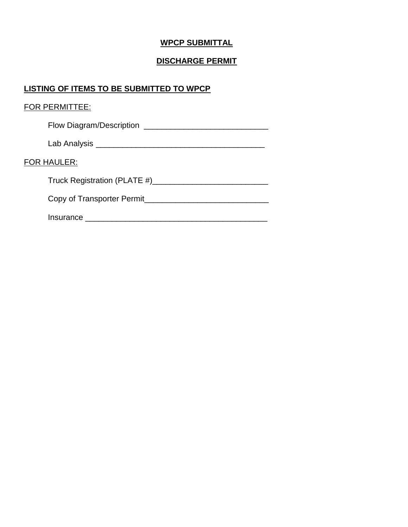# **WPCP SUBMITTAL**

# **DISCHARGE PERMIT**

# **LISTING OF ITEMS TO BE SUBMITTED TO WPCP**

|             | <b>FOR PERMITTEE:</b>                                                                                                 |
|-------------|-----------------------------------------------------------------------------------------------------------------------|
|             | Flow Diagram/Description                                                                                              |
|             |                                                                                                                       |
| FOR HAULER: |                                                                                                                       |
|             |                                                                                                                       |
|             | Copy of Transporter Permit                                                                                            |
|             | <u>Insurance</u> Manual Manual Manual Manual Manual Manual Manual Manual Manual Manual Manual Manual Manual Manual Ma |